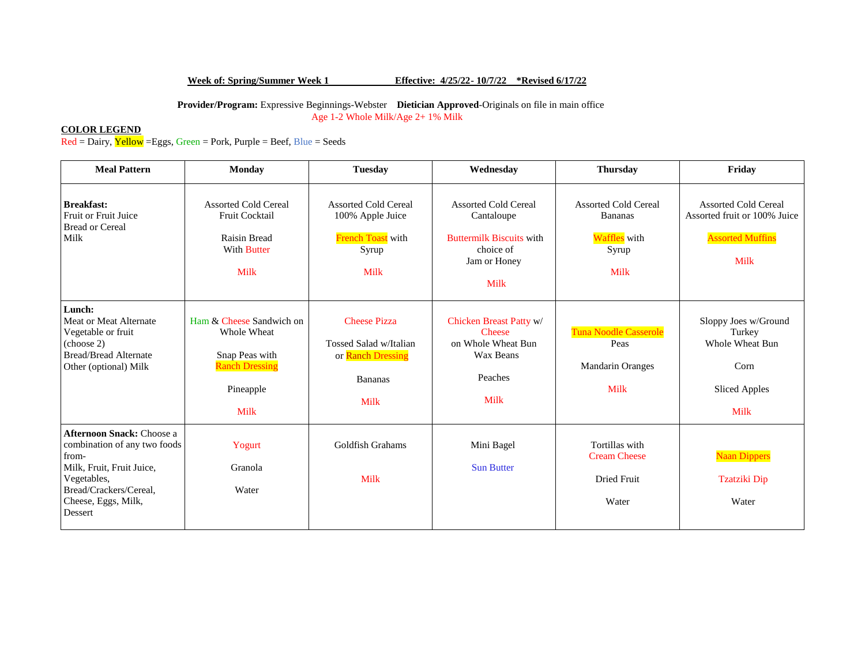# **Week of: Spring/Summer Week 1 Effective: 4/25/22- 10/7/22 \*Revised 6/17/22**

 **Provider/Program:** Expressive Beginnings-Webster **Dietician Approved**-Originals on file in main office Age 1-2 Whole Milk/Age 2+ 1% Milk

## **COLOR LEGEND**

 $\overline{Red} = \overline{D}$ airy,  $\overline{Y}$ ellow = Eggs, Green = Pork, Purple = Beef, Blue = Seeds

| <b>Meal Pattern</b>                                                                                                                                                               | <b>Monday</b>                                                                                             | <b>Tuesday</b>                                                                                      | Wednesday                                                                                                         | <b>Thursday</b>                                                                       | Friday                                                                                                |
|-----------------------------------------------------------------------------------------------------------------------------------------------------------------------------------|-----------------------------------------------------------------------------------------------------------|-----------------------------------------------------------------------------------------------------|-------------------------------------------------------------------------------------------------------------------|---------------------------------------------------------------------------------------|-------------------------------------------------------------------------------------------------------|
| <b>Breakfast:</b><br>Fruit or Fruit Juice<br><b>Bread or Cereal</b><br>Milk                                                                                                       | <b>Assorted Cold Cereal</b><br>Fruit Cocktail<br><b>Raisin Bread</b><br><b>With Butter</b><br><b>Milk</b> | <b>Assorted Cold Cereal</b><br>100% Apple Juice<br>French Toast with<br>Syrup<br><b>Milk</b>        | <b>Assorted Cold Cereal</b><br>Cantaloupe<br><b>Buttermilk Biscuits with</b><br>choice of<br>Jam or Honey<br>Milk | <b>Assorted Cold Cereal</b><br><b>Bananas</b><br>Waffles with<br>Syrup<br><b>Milk</b> | <b>Assorted Cold Cereal</b><br>Assorted fruit or 100% Juice<br><b>Assorted Muffins</b><br><b>Milk</b> |
| Lunch:<br>Meat or Meat Alternate<br>Vegetable or fruit<br>(choose 2)<br><b>Bread/Bread Alternate</b><br>Other (optional) Milk                                                     | Ham & Cheese Sandwich on<br>Whole Wheat<br>Snap Peas with<br><b>Ranch Dressing</b><br>Pineapple<br>Milk   | <b>Cheese Pizza</b><br>Tossed Salad w/Italian<br>or Ranch Dressing<br><b>Bananas</b><br><b>Milk</b> | Chicken Breast Patty w/<br><b>Cheese</b><br>on Whole Wheat Bun<br>Wax Beans<br>Peaches<br>Milk                    | Tuna Noodle Casserole<br>Peas<br>Mandarin Oranges<br>Milk                             | Sloppy Joes w/Ground<br>Turkey<br>Whole Wheat Bun<br>Corn<br><b>Sliced Apples</b><br><b>Milk</b>      |
| <b>Afternoon Snack: Choose a</b><br>combination of any two foods<br>from-<br>Milk, Fruit, Fruit Juice,<br>Vegetables,<br>Bread/Crackers/Cereal.<br>Cheese, Eggs, Milk,<br>Dessert | Yogurt<br>Granola<br>Water                                                                                | Goldfish Grahams<br><b>Milk</b>                                                                     | Mini Bagel<br><b>Sun Butter</b>                                                                                   | Tortillas with<br><b>Cream Cheese</b><br><b>Dried Fruit</b><br>Water                  | <b>Naan Dippers</b><br><b>Tzatziki Dip</b><br>Water                                                   |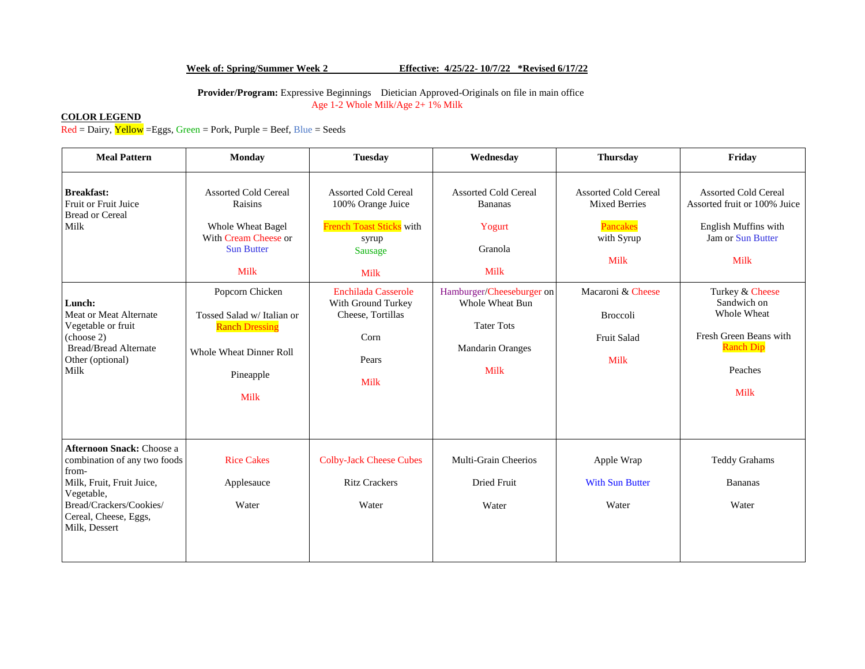### **Week of: Spring/Summer Week 2 Effective: 4/25/22- 10/7/22 \*Revised 6/17/22**

 **Provider/Program:** Expressive Beginnings Dietician Approved-Originals on file in main office Age 1-2 Whole Milk/Age 2+ 1% Milk

## **COLOR LEGEND**

 $\overline{Red = \text{Dairy}, \text{Yellow}} = Eggs, Green = \text{Port}, \text{purple} = \text{Beef}, \text{Blue} = \text{Seeds}$ 

| <b>Meal Pattern</b>                                                                                                                                                                                             | <b>Monday</b>                                                                                                                                                                                                                                     | <b>Tuesday</b>                                                                                                                                                                                                                  | Wednesday                                                                                                                                                                                        | <b>Thursday</b>                                                                                                                                      | Friday                                                                                                                                                                                                                                    |
|-----------------------------------------------------------------------------------------------------------------------------------------------------------------------------------------------------------------|---------------------------------------------------------------------------------------------------------------------------------------------------------------------------------------------------------------------------------------------------|---------------------------------------------------------------------------------------------------------------------------------------------------------------------------------------------------------------------------------|--------------------------------------------------------------------------------------------------------------------------------------------------------------------------------------------------|------------------------------------------------------------------------------------------------------------------------------------------------------|-------------------------------------------------------------------------------------------------------------------------------------------------------------------------------------------------------------------------------------------|
| <b>Breakfast:</b><br>Fruit or Fruit Juice<br><b>Bread or Cereal</b><br>Milk<br>Lunch:<br>Meat or Meat Alternate<br>Vegetable or fruit<br>(choose 2)<br><b>Bread/Bread Alternate</b><br>Other (optional)<br>Milk | <b>Assorted Cold Cereal</b><br>Raisins<br>Whole Wheat Bagel<br>With Cream Cheese or<br><b>Sun Butter</b><br>Milk<br>Popcorn Chicken<br>Tossed Salad w/ Italian or<br><b>Ranch Dressing</b><br><b>Whole Wheat Dinner Roll</b><br>Pineapple<br>Milk | <b>Assorted Cold Cereal</b><br>100% Orange Juice<br><b>French Toast Sticks</b> with<br>syrup<br>Sausage<br><b>Milk</b><br><b>Enchilada Casserole</b><br>With Ground Turkey<br>Cheese, Tortillas<br>Corn<br>Pears<br><b>Milk</b> | <b>Assorted Cold Cereal</b><br><b>Bananas</b><br>Yogurt<br>Granola<br><b>Milk</b><br>Hamburger/Cheeseburger on<br>Whole Wheat Bun<br><b>Tater Tots</b><br><b>Mandarin Oranges</b><br><b>Milk</b> | <b>Assorted Cold Cereal</b><br><b>Mixed Berries</b><br>Pancakes<br>with Syrup<br>Milk<br>Macaroni & Cheese<br>Broccoli<br><b>Fruit Salad</b><br>Milk | <b>Assorted Cold Cereal</b><br>Assorted fruit or 100% Juice<br>English Muffins with<br><b>Jam or Sun Butter</b><br>Milk<br>Turkey & Cheese<br>Sandwich on<br>Whole Wheat<br>Fresh Green Beans with<br><b>Ranch Dip</b><br>Peaches<br>Milk |
| <b>Afternoon Snack: Choose a</b><br>combination of any two foods<br>from-<br>Milk, Fruit, Fruit Juice,<br>Vegetable,<br>Bread/Crackers/Cookies/<br>Cereal, Cheese, Eggs,<br>Milk, Dessert                       | <b>Rice Cakes</b><br>Applesauce<br>Water                                                                                                                                                                                                          | <b>Colby-Jack Cheese Cubes</b><br><b>Ritz Crackers</b><br>Water                                                                                                                                                                 | Multi-Grain Cheerios<br><b>Dried Fruit</b><br>Water                                                                                                                                              | Apple Wrap<br><b>With Sun Butter</b><br>Water                                                                                                        | <b>Teddy Grahams</b><br><b>Bananas</b><br>Water                                                                                                                                                                                           |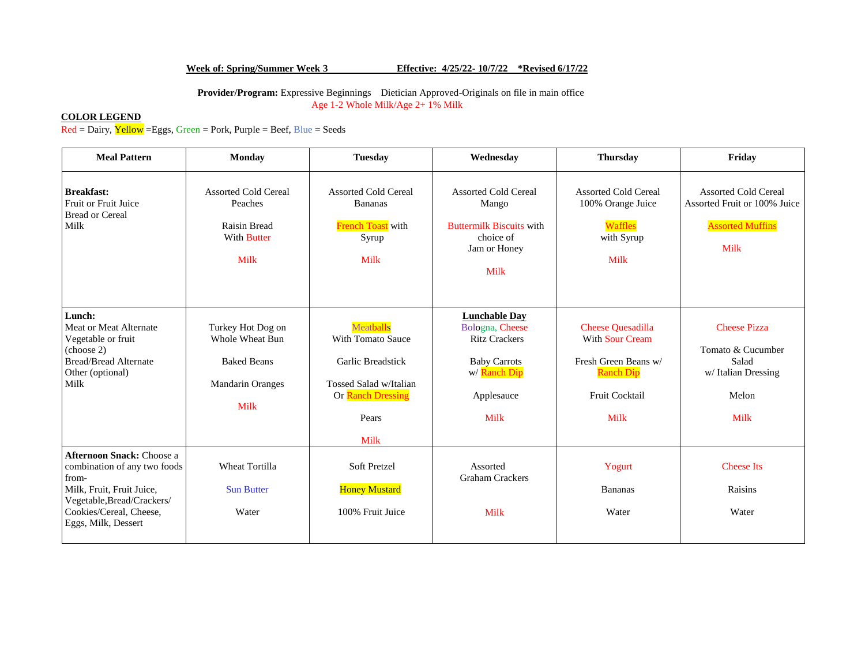# **Week of: Spring/Summer Week 3 Effective: 4/25/22- 10/7/22 \*Revised 6/17/22**

 **Provider/Program:** Expressive Beginnings Dietician Approved-Originals on file in main office Age 1-2 Whole Milk/Age 2+ 1% Milk

## **COLOR LEGEND**

 $\overline{Red = \text{Dairy}, \text{Yellow}} = Eggs, Green = \text{Port}, \text{purple} = \text{Beef}, \text{Blue} = \text{Seeds}$ 

| <b>Meal Pattern</b>                                                                                                                                                                    | <b>Monday</b>                                                                                      | <b>Tuesday</b>                                                                                                      | Wednesday                                                                                                                    | <b>Thursday</b>                                                                                                          | Friday                                                                                         |
|----------------------------------------------------------------------------------------------------------------------------------------------------------------------------------------|----------------------------------------------------------------------------------------------------|---------------------------------------------------------------------------------------------------------------------|------------------------------------------------------------------------------------------------------------------------------|--------------------------------------------------------------------------------------------------------------------------|------------------------------------------------------------------------------------------------|
| <b>Breakfast:</b><br>Fruit or Fruit Juice<br><b>Bread or Cereal</b><br>Milk                                                                                                            | <b>Assorted Cold Cereal</b><br>Peaches<br><b>Raisin Bread</b><br><b>With Butter</b><br><b>Milk</b> | <b>Assorted Cold Cereal</b><br><b>Bananas</b><br><b>French Toast</b> with<br>Syrup<br><b>Milk</b>                   | <b>Assorted Cold Cereal</b><br>Mango<br><b>Buttermilk Biscuits with</b><br>choice of<br>Jam or Honey<br><b>Milk</b>          | <b>Assorted Cold Cereal</b><br>100% Orange Juice<br><b>Waffles</b><br>with Syrup<br>Milk                                 | <b>Assorted Cold Cereal</b><br>Assorted Fruit or 100% Juice<br><b>Assorted Muffins</b><br>Milk |
| Lunch:<br>Meat or Meat Alternate<br>Vegetable or fruit<br>(choose 2)<br><b>Bread/Bread Alternate</b><br>Other (optional)<br>Milk                                                       | Turkey Hot Dog on<br>Whole Wheat Bun<br><b>Baked Beans</b><br><b>Mandarin Oranges</b><br>Milk      | Meatballs<br>With Tomato Sauce<br>Garlic Breadstick<br>Tossed Salad w/Italian<br>Or Ranch Dressing<br>Pears<br>Milk | <b>Lunchable Day</b><br>Bologna, Cheese<br><b>Ritz Crackers</b><br><b>Baby Carrots</b><br>w/ Ranch Dip<br>Applesauce<br>Milk | <b>Cheese Quesadilla</b><br><b>With Sour Cream</b><br>Fresh Green Beans w/<br><b>Ranch Dip</b><br>Fruit Cocktail<br>Milk | <b>Cheese Pizza</b><br>Tomato & Cucumber<br>Salad<br>w/Italian Dressing<br>Melon<br>Milk       |
| <b>Afternoon Snack: Choose a</b><br>combination of any two foods<br>from-<br>Milk, Fruit, Fruit Juice,<br>Vegetable, Bread/Crackers/<br>Cookies/Cereal, Cheese,<br>Eggs, Milk, Dessert | Wheat Tortilla<br><b>Sun Butter</b><br>Water                                                       | Soft Pretzel<br><b>Honey Mustard</b><br>100% Fruit Juice                                                            | Assorted<br><b>Graham Crackers</b><br>Milk                                                                                   | Yogurt<br>Bananas<br>Water                                                                                               | <b>Cheese Its</b><br>Raisins<br>Water                                                          |